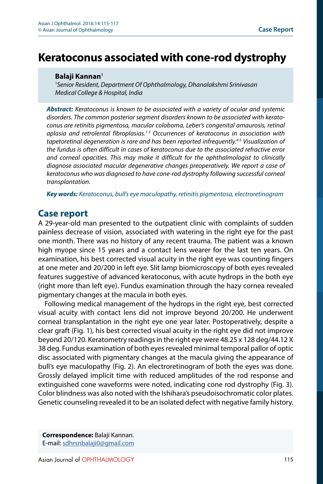## **Balaji Kannan<sup>1</sup>**

*1 Senior Resident, Department Of Ophthalmology, Dhanalakshmi Srinivasan Medical College & Hospital, India*

*Abstract: Keratoconus is known to be associated with a variety of ocular and systemic disorders. The common posterior segment disorders known to be associated with keratoconus are retinitis pigmentosa, macular coloboma, Leber's congenital amaurosis, retinal aplasia and retrolental fibroplasias.1-3 Occurrences of keratoconus in association with tapetoretinal degeneration is rare and has been reported infrequently.4-5 Visualization of the fundus is often difficult in cases of keratoconus due to the associated refractive error and corneal opacities. This may make it difficult for the ophthalmologist to clinically diagnose associated macular degenerative changes preoperatively. We report a case of keratoconus who was diagnosed to have cone-rod dystrophy following successful corneal transplantation.*

*Key words: Keratoconus, bull's eye maculopathy, retinitis pigmentosa, electroretinogram*

## **Case report**

A 29-year-old man presented to the outpatient clinic with complaints of sudden painless decrease of vision, associated with watering in the right eye for the past one month. There was no history of any recent trauma. The patient was a known high myope since 15 years and a contact lens wearer for the last ten years. On examination, his best corrected visual acuity in the right eye was counting fingers at one meter and 20/200 in left eye. Slit lamp biomicroscopy of both eyes revealed features suggestive of advanced keratoconus, with acute hydrops in the both eye (right more than left eye). Fundus examination through the hazy cornea revealed pigmentary changes at the macula in both eyes.

Following medical management of the hydrops in the right eye, best corrected visual acuity with contact lens did not improve beyond 20/200. He underwent corneal transplantation in the right eye one year later. Postoperatively, despite a clear graft (Fig. 1), his best corrected visual acuity in the right eye did not improve beyond 20/120. Keratometry readings in the right eye were 48.25 x 128 deg/44.12 X 38 deg. Fundus examination of both eyes revealed minimal temporal pallor of optic disc associated with pigmentary changes at the macula giving the appearance of bull's eye maculopathy (Fig. 2). An electroretinogram of both the eyes was done. Grossly delayed implicit time with reduced amplitudes of the rod response and extinguished cone waveforms were noted, indicating cone rod dystrophy (Fig. 3). Color blindness was also noted with the Ishihara's pseudoisochromatic color plates. Genetic counseling revealed it to be an isolated defect with negative family history.

**Correspondence:** Balaji Kannan. E-mail: [sdhrsnbalaji0@gmail.com](mailto:sdhrsnbalaji0%40gmail.com?subject=)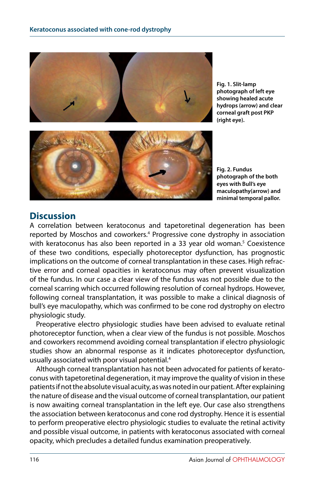

**Fig. 1. Slit-lamp photograph of left eye showing healed acute hydrops (arrow) and clear corneal graft post PKP (right eye).**



**Fig. 2. Fundus photograph of the both eyes with Bull's eye maculopathy(arrow) and minimal temporal pallor.**

## **Discussion**

A correlation between keratoconus and tapetoretinal degeneration has been reported by Moschos and coworkers.<sup>4</sup> Progressive cone dystrophy in association with keratoconus has also been reported in a 33 year old woman.<sup>5</sup> Coexistence of these two conditions, especially photoreceptor dysfunction, has prognostic implications on the outcome of corneal transplantation in these cases. High refractive error and corneal opacities in keratoconus may often prevent visualization of the fundus. In our case a clear view of the fundus was not possible due to the corneal scarring which occurred following resolution of corneal hydrops. However, following corneal transplantation, it was possible to make a clinical diagnosis of bull's eye maculopathy, which was confirmed to be cone rod dystrophy on electro physiologic study.

Preoperative electro physiologic studies have been advised to evaluate retinal photoreceptor function, when a clear view of the fundus is not possible. Moschos and coworkers recommend avoiding corneal transplantation if electro physiologic studies show an abnormal response as it indicates photoreceptor dysfunction, usually associated with poor visual potential.4

Although corneal transplantation has not been advocated for patients of keratoconus with tapetoretinal degeneration, it may improve the quality of vision in these patients if not the absolute visual acuity, as was noted in our patient. After explaining the nature of disease and the visual outcome of corneal transplantation, our patient is now awaiting corneal transplantation in the left eye. Our case also strengthens the association between keratoconus and cone rod dystrophy. Hence it is essential to perform preoperative electro physiologic studies to evaluate the retinal activity and possible visual outcome, in patients with keratoconus associated with corneal opacity, which precludes a detailed fundus examination preoperatively.